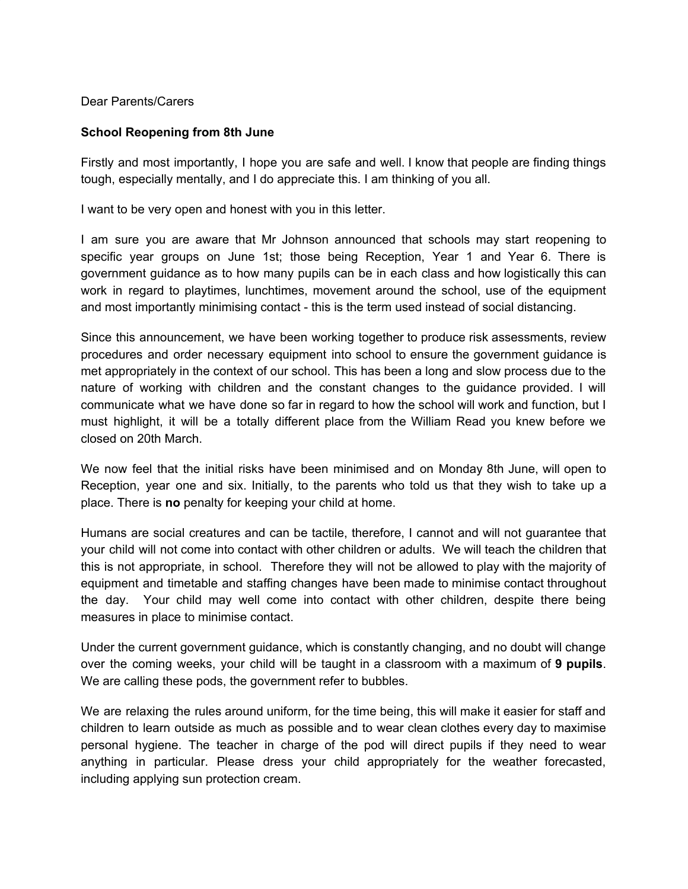Dear Parents/Carers

## **School Reopening from 8th June**

Firstly and most importantly, I hope you are safe and well. I know that people are finding things tough, especially mentally, and I do appreciate this. I am thinking of you all.

I want to be very open and honest with you in this letter.

I am sure you are aware that Mr Johnson announced that schools may start reopening to specific year groups on June 1st; those being Reception, Year 1 and Year 6. There is government guidance as to how many pupils can be in each class and how logistically this can work in regard to playtimes, lunchtimes, movement around the school, use of the equipment and most importantly minimising contact - this is the term used instead of social distancing.

Since this announcement, we have been working together to produce risk assessments, review procedures and order necessary equipment into school to ensure the government guidance is met appropriately in the context of our school. This has been a long and slow process due to the nature of working with children and the constant changes to the guidance provided. I will communicate what we have done so far in regard to how the school will work and function, but I must highlight, it will be a totally different place from the William Read you knew before we closed on 20th March.

We now feel that the initial risks have been minimised and on Monday 8th June, will open to Reception, year one and six. Initially, to the parents who told us that they wish to take up a place. There is **no** penalty for keeping your child at home.

Humans are social creatures and can be tactile, therefore, I cannot and will not guarantee that your child will not come into contact with other children or adults. We will teach the children that this is not appropriate, in school. Therefore they will not be allowed to play with the majority of equipment and timetable and staffing changes have been made to minimise contact throughout the day. Your child may well come into contact with other children, despite there being measures in place to minimise contact.

Under the current government guidance, which is constantly changing, and no doubt will change over the coming weeks, your child will be taught in a classroom with a maximum of **9 pupils**. We are calling these pods, the government refer to bubbles.

We are relaxing the rules around uniform, for the time being, this will make it easier for staff and children to learn outside as much as possible and to wear clean clothes every day to maximise personal hygiene. The teacher in charge of the pod will direct pupils if they need to wear anything in particular. Please dress your child appropriately for the weather forecasted, including applying sun protection cream.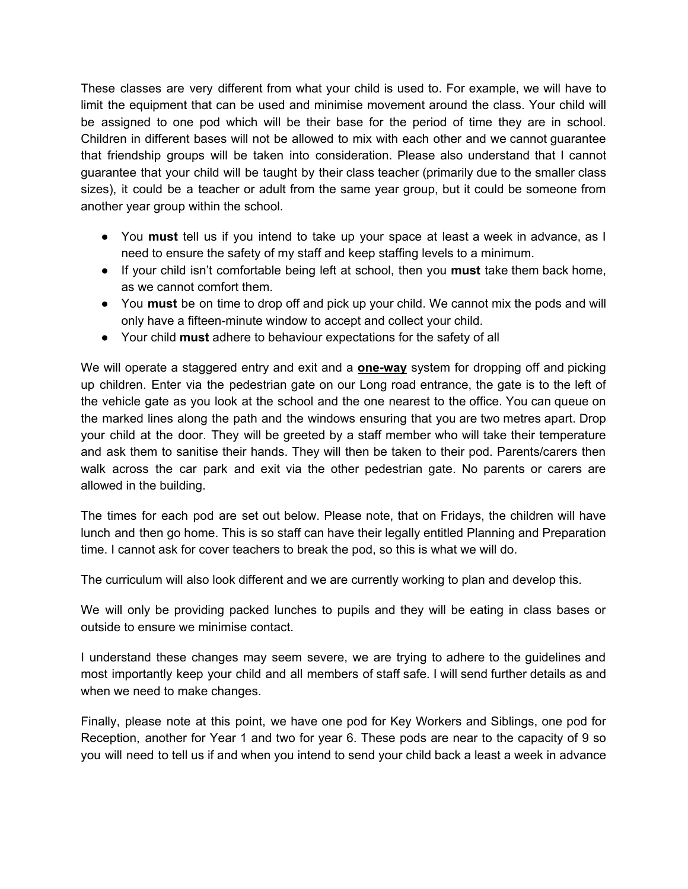These classes are very different from what your child is used to. For example, we will have to limit the equipment that can be used and minimise movement around the class. Your child will be assigned to one pod which will be their base for the period of time they are in school. Children in different bases will not be allowed to mix with each other and we cannot guarantee that friendship groups will be taken into consideration. Please also understand that I cannot guarantee that your child will be taught by their class teacher (primarily due to the smaller class sizes), it could be a teacher or adult from the same year group, but it could be someone from another year group within the school.

- You **must** tell us if you intend to take up your space at least a week in advance, as I need to ensure the safety of my staff and keep staffing levels to a minimum.
- If your child isn't comfortable being left at school, then you **must** take them back home, as we cannot comfort them.
- You **must** be on time to drop off and pick up your child. We cannot mix the pods and will only have a fifteen-minute window to accept and collect your child.
- Your child **must** adhere to behaviour expectations for the safety of all

We will operate a staggered entry and exit and a **one-way** system for dropping off and picking up children. Enter via the pedestrian gate on our Long road entrance, the gate is to the left of the vehicle gate as you look at the school and the one nearest to the office. You can queue on the marked lines along the path and the windows ensuring that you are two metres apart. Drop your child at the door. They will be greeted by a staff member who will take their temperature and ask them to sanitise their hands. They will then be taken to their pod. Parents/carers then walk across the car park and exit via the other pedestrian gate. No parents or carers are allowed in the building.

The times for each pod are set out below. Please note, that on Fridays, the children will have lunch and then go home. This is so staff can have their legally entitled Planning and Preparation time. I cannot ask for cover teachers to break the pod, so this is what we will do.

The curriculum will also look different and we are currently working to plan and develop this.

We will only be providing packed lunches to pupils and they will be eating in class bases or outside to ensure we minimise contact.

I understand these changes may seem severe, we are trying to adhere to the guidelines and most importantly keep your child and all members of staff safe. I will send further details as and when we need to make changes.

Finally, please note at this point, we have one pod for Key Workers and Siblings, one pod for Reception, another for Year 1 and two for year 6. These pods are near to the capacity of 9 so you will need to tell us if and when you intend to send your child back a least a week in advance